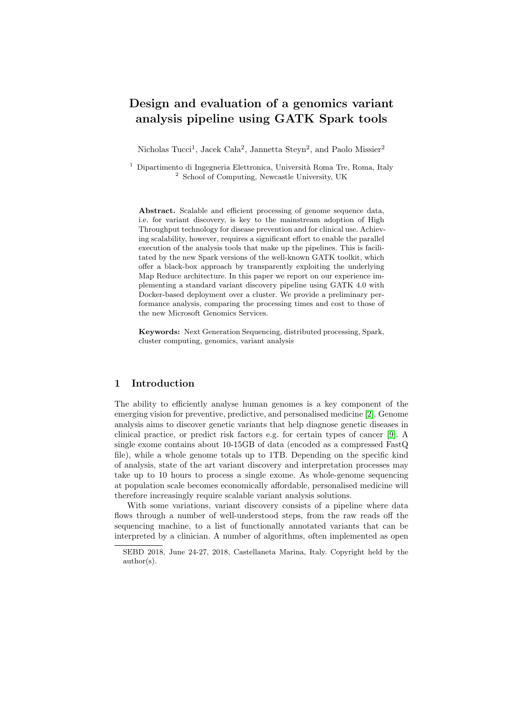# Design and evaluation of a genomics variant analysis pipeline using GATK Spark tools

Nicholas Tucci<sup>1</sup>, Jacek Cała<sup>2</sup>, Jannetta Steyn<sup>2</sup>, and Paolo Missier<sup>2</sup>

<sup>1</sup> Dipartimento di Ingegneria Elettronica, Università Roma Tre, Roma, Italy <sup>2</sup> School of Computing, Newcastle University, UK

Abstract. Scalable and efficient processing of genome sequence data, i.e. for variant discovery, is key to the mainstream adoption of High Throughput technology for disease prevention and for clinical use. Achieving scalability, however, requires a significant effort to enable the parallel execution of the analysis tools that make up the pipelines. This is facilitated by the new Spark versions of the well-known GATK toolkit, which offer a black-box approach by transparently exploiting the underlying Map Reduce architecture. In this paper we report on our experience implementing a standard variant discovery pipeline using GATK 4.0 with Docker-based deployment over a cluster. We provide a preliminary performance analysis, comparing the processing times and cost to those of the new Microsoft Genomics Services.

Keywords: Next Generation Sequencing, distributed processing, Spark, cluster computing, genomics, variant analysis

#### 1 Introduction

The ability to efficiently analyse human genomes is a key component of the emerging vision for preventive, predictive, and personalised medicine [\[2\]](#page-10-0). Genome analysis aims to discover genetic variants that help diagnose genetic diseases in clinical practice, or predict risk factors e.g. for certain types of cancer [\[9\]](#page-11-0). A single exome contains about 10-15GB of data (encoded as a compressed FastQ file), while a whole genome totals up to 1TB. Depending on the specific kind of analysis, state of the art variant discovery and interpretation processes may take up to 10 hours to process a single exome. As whole-genome sequencing at population scale becomes economically affordable, personalised medicine will therefore increasingly require scalable variant analysis solutions.

With some variations, variant discovery consists of a pipeline where data flows through a number of well-understood steps, from the raw reads off the sequencing machine, to a list of functionally annotated variants that can be interpreted by a clinician. A number of algorithms, often implemented as open

SEBD 2018, June 24-27, 2018, Castellaneta Marina, Italy. Copyright held by the author(s).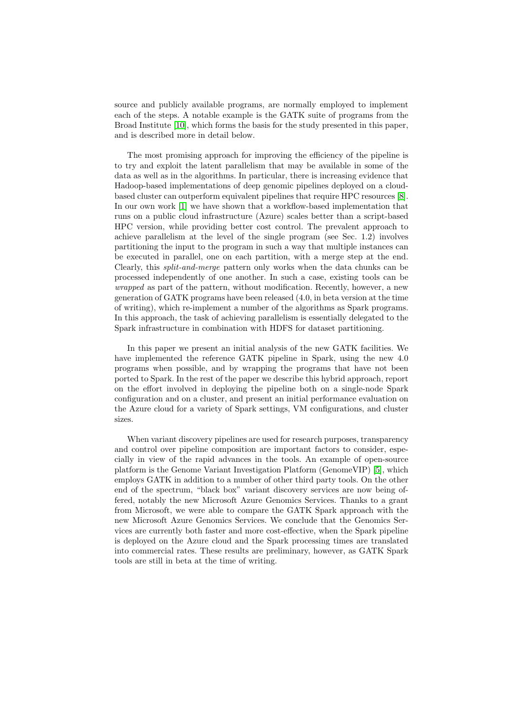source and publicly available programs, are normally employed to implement each of the steps. A notable example is the GATK suite of programs from the Broad Institute [\[10\]](#page-11-1), which forms the basis for the study presented in this paper, and is described more in detail below.

The most promising approach for improving the efficiency of the pipeline is to try and exploit the latent parallelism that may be available in some of the data as well as in the algorithms. In particular, there is increasing evidence that Hadoop-based implementations of deep genomic pipelines deployed on a cloudbased cluster can outperform equivalent pipelines that require HPC resources [\[8\]](#page-11-2). In our own work [\[1\]](#page-10-1) we have shown that a workflow-based implementation that runs on a public cloud infrastructure (Azure) scales better than a script-based HPC version, while providing better cost control. The prevalent approach to achieve parallelism at the level of the single program (see Sec. 1.2) involves partitioning the input to the program in such a way that multiple instances can be executed in parallel, one on each partition, with a merge step at the end. Clearly, this split-and-merge pattern only works when the data chunks can be processed independently of one another. In such a case, existing tools can be wrapped as part of the pattern, without modification. Recently, however, a new generation of GATK programs have been released (4.0, in beta version at the time of writing), which re-implement a number of the algorithms as Spark programs. In this approach, the task of achieving parallelism is essentially delegated to the Spark infrastructure in combination with HDFS for dataset partitioning.

In this paper we present an initial analysis of the new GATK facilities. We have implemented the reference GATK pipeline in Spark, using the new 4.0 programs when possible, and by wrapping the programs that have not been ported to Spark. In the rest of the paper we describe this hybrid approach, report on the effort involved in deploying the pipeline both on a single-node Spark configuration and on a cluster, and present an initial performance evaluation on the Azure cloud for a variety of Spark settings, VM configurations, and cluster sizes.

When variant discovery pipelines are used for research purposes, transparency and control over pipeline composition are important factors to consider, especially in view of the rapid advances in the tools. An example of open-source platform is the Genome Variant Investigation Platform (GenomeVIP) [\[5\]](#page-11-3), which employs GATK in addition to a number of other third party tools. On the other end of the spectrum, "black box" variant discovery services are now being offered, notably the new Microsoft Azure Genomics Services. Thanks to a grant from Microsoft, we were able to compare the GATK Spark approach with the new Microsoft Azure Genomics Services. We conclude that the Genomics Services are currently both faster and more cost-effective, when the Spark pipeline is deployed on the Azure cloud and the Spark processing times are translated into commercial rates. These results are preliminary, however, as GATK Spark tools are still in beta at the time of writing.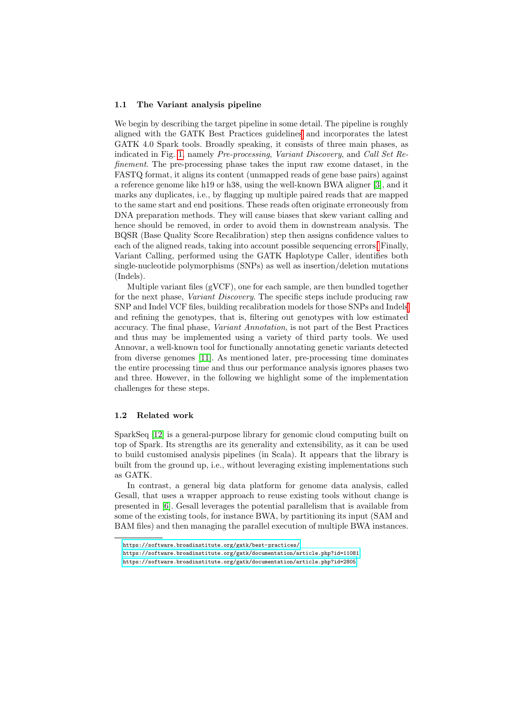#### 1.1 The Variant analysis pipeline

We begin by describing the target pipeline in some detail. The pipeline is roughly aligned with the GATK Best Practices guideline[s](#page-2-0) and incorporates the latest GATK 4.0 Spark tools. Broadly speaking, it consists of three main phases, as indicated in Fig. [1,](#page-4-0) namely Pre-processing, Variant Discovery, and Call Set Refinement. The pre-processing phase takes the input raw exome dataset, in the FASTQ format, it aligns its content (unmapped reads of gene base pairs) against a reference genome like h19 or h38, using the well-known BWA aligner [\[3\]](#page-10-2), and it marks any duplicates, i.e., by flagging up multiple paired reads that are mapped to the same start and end positions. These reads often originate erroneously from DNA preparation methods. They will cause biases that skew variant calling and hence should be removed, in order to avoid them in downstream analysis. The BQSR (Base Quality Score Recalibration) step then assigns confidence values to each of the aligned reads, taking into account possible sequencing errors[.](#page-2-1) Finally, Variant Calling, performed using the GATK Haplotype Caller, identifies both single-nucleotide polymorphisms (SNPs) as well as insertion/deletion mutations (Indels).

Multiple variant files (gVCF), one for each sample, are then bundled together for the next phase, Variant Discovery. The specific steps include producing raw SNP and Indel VCF files, building recalibration models for those SNPs and Indel[s](#page-2-2) and refining the genotypes, that is, filtering out genotypes with low estimated accuracy. The final phase, Variant Annotation, is not part of the Best Practices and thus may be implemented using a variety of third party tools. We used Annovar, a well-known tool for functionally annotating genetic variants detected from diverse genomes [\[11\]](#page-11-4). As mentioned later, pre-processing time dominates the entire processing time and thus our performance analysis ignores phases two and three. However, in the following we highlight some of the implementation challenges for these steps.

### 1.2 Related work

SparkSeq [\[12\]](#page-11-5) is a general-purpose library for genomic cloud computing built on top of Spark. Its strengths are its generality and extensibility, as it can be used to build customised analysis pipelines (in Scala). It appears that the library is built from the ground up, i.e., without leveraging existing implementations such as GATK.

In contrast, a general big data platform for genome data analysis, called Gesall, that uses a wrapper approach to reuse existing tools without change is presented in [\[6\]](#page-11-6). Gesall leverages the potential parallelism that is available from some of the existing tools, for instance BWA, by partitioning its input (SAM and BAM files) and then managing the parallel execution of multiple BWA instances.

<span id="page-2-0"></span><https://software.broadinstitute.org/gatk/best-practices/>

<span id="page-2-1"></span><https://software.broadinstitute.org/gatk/documentation/article.php?id=11081>

<span id="page-2-2"></span><https://software.broadinstitute.org/gatk/documentation/article.php?id=2805>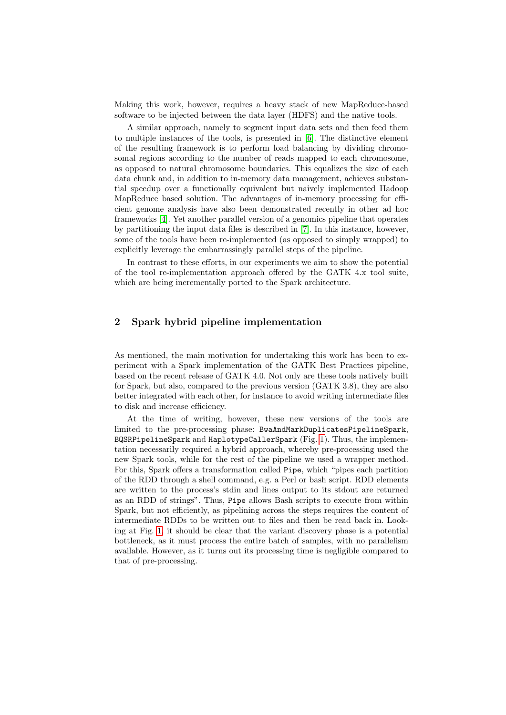Making this work, however, requires a heavy stack of new MapReduce-based software to be injected between the data layer (HDFS) and the native tools.

A similar approach, namely to segment input data sets and then feed them to multiple instances of the tools, is presented in [\[6\]](#page-11-6). The distinctive element of the resulting framework is to perform load balancing by dividing chromosomal regions according to the number of reads mapped to each chromosome, as opposed to natural chromosome boundaries. This equalizes the size of each data chunk and, in addition to in-memory data management, achieves substantial speedup over a functionally equivalent but naively implemented Hadoop MapReduce based solution. The advantages of in-memory processing for efficient genome analysis have also been demonstrated recently in other ad hoc frameworks [\[4\]](#page-11-7). Yet another parallel version of a genomics pipeline that operates by partitioning the input data files is described in [\[7\]](#page-11-8). In this instance, however, some of the tools have been re-implemented (as opposed to simply wrapped) to explicitly leverage the embarrassingly parallel steps of the pipeline.

In contrast to these efforts, in our experiments we aim to show the potential of the tool re-implementation approach offered by the GATK 4.x tool suite, which are being incrementally ported to the Spark architecture.

## <span id="page-3-0"></span>2 Spark hybrid pipeline implementation

As mentioned, the main motivation for undertaking this work has been to experiment with a Spark implementation of the GATK Best Practices pipeline, based on the recent release of GATK 4.0. Not only are these tools natively built for Spark, but also, compared to the previous version (GATK 3.8), they are also better integrated with each other, for instance to avoid writing intermediate files to disk and increase efficiency.

At the time of writing, however, these new versions of the tools are limited to the pre-processing phase: BwaAndMarkDuplicatesPipelineSpark, BQSRPipelineSpark and HaplotypeCallerSpark (Fig. [1\)](#page-4-0). Thus, the implementation necessarily required a hybrid approach, whereby pre-processing used the new Spark tools, while for the rest of the pipeline we used a wrapper method. For this, Spark offers a transformation called Pipe, which "pipes each partition of the RDD through a shell command, e.g. a Perl or bash script. RDD elements are written to the process's stdin and lines output to its stdout are returned as an RDD of strings". Thus, Pipe allows Bash scripts to execute from within Spark, but not efficiently, as pipelining across the steps requires the content of intermediate RDDs to be written out to files and then be read back in. Looking at Fig. [1,](#page-4-0) it should be clear that the variant discovery phase is a potential bottleneck, as it must process the entire batch of samples, with no parallelism available. However, as it turns out its processing time is negligible compared to that of pre-processing.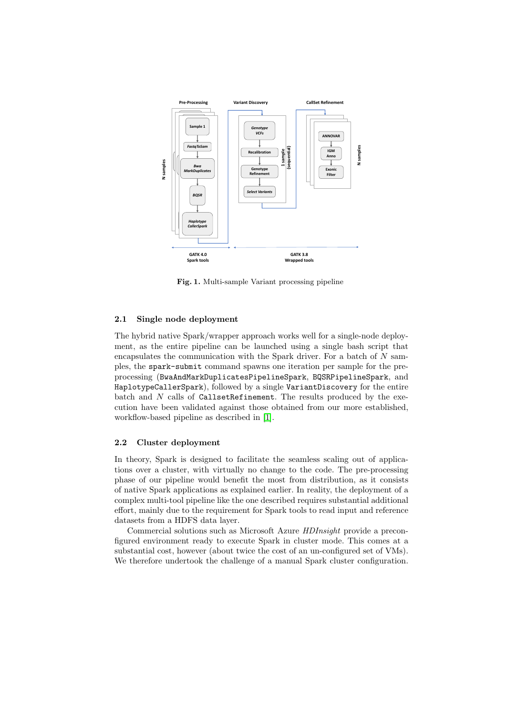

<span id="page-4-0"></span>Fig. 1. Multi-sample Variant processing pipeline

#### 2.1 Single node deployment

The hybrid native Spark/wrapper approach works well for a single-node deployment, as the entire pipeline can be launched using a single bash script that encapsulates the communication with the Spark driver. For a batch of N samples, the spark-submit command spawns one iteration per sample for the preprocessing (BwaAndMarkDuplicatesPipelineSpark, BQSRPipelineSpark, and HaplotypeCallerSpark), followed by a single VariantDiscovery for the entire batch and N calls of CallsetRefinement. The results produced by the execution have been validated against those obtained from our more established, workflow-based pipeline as described in [\[1\]](#page-10-1).

#### 2.2 Cluster deployment

In theory, Spark is designed to facilitate the seamless scaling out of applications over a cluster, with virtually no change to the code. The pre-processing phase of our pipeline would benefit the most from distribution, as it consists of native Spark applications as explained earlier. In reality, the deployment of a complex multi-tool pipeline like the one described requires substantial additional effort, mainly due to the requirement for Spark tools to read input and reference datasets from a HDFS data layer.

Commercial solutions such as Microsoft Azure HDInsight provide a preconfigured environment ready to execute Spark in cluster mode. This comes at a substantial cost, however (about twice the cost of an un-configured set of VMs). We therefore undertook the challenge of a manual Spark cluster configuration.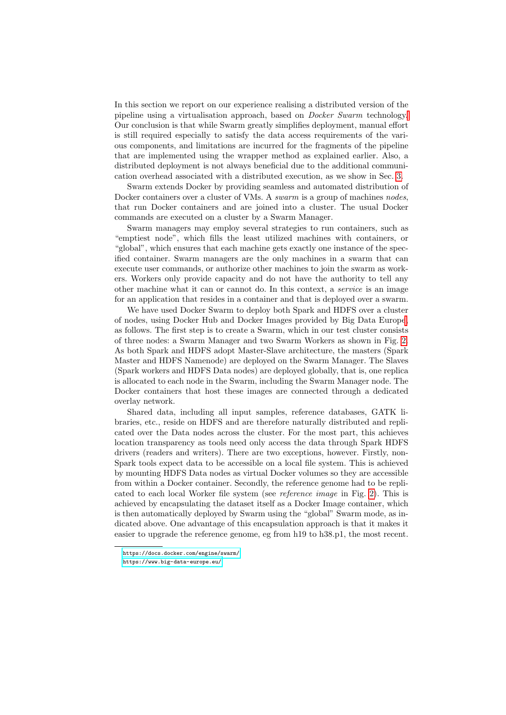In this section we report on our experience realising a distributed version of the pipeline using a virtualisation approach, based on Docker Swarm technology[.](#page-5-0) Our conclusion is that while Swarm greatly simplifies deployment, manual effort is still required especially to satisfy the data access requirements of the various components, and limitations are incurred for the fragments of the pipeline that are implemented using the wrapper method as explained earlier. Also, a distributed deployment is not always beneficial due to the additional communication overhead associated with a distributed execution, as we show in Sec. [3.](#page-6-0)

Swarm extends Docker by providing seamless and automated distribution of Docker containers over a cluster of VMs. A *swarm* is a group of machines nodes, that run Docker containers and are joined into a cluster. The usual Docker commands are executed on a cluster by a Swarm Manager.

Swarm managers may employ several strategies to run containers, such as "emptiest node", which fills the least utilized machines with containers, or "global", which ensures that each machine gets exactly one instance of the specified container. Swarm managers are the only machines in a swarm that can execute user commands, or authorize other machines to join the swarm as workers. Workers only provide capacity and do not have the authority to tell any other machine what it can or cannot do. In this context, a service is an image for an application that resides in a container and that is deployed over a swarm.

We have used Docker Swarm to deploy both Spark and HDFS over a cluster of nodes, using Docker Hub and Docker Images provided by Big Data Europ[e,](#page-5-1) as follows. The first step is to create a Swarm, which in our test cluster consists of three nodes: a Swarm Manager and two Swarm Workers as shown in Fig. [2.](#page-6-1) As both Spark and HDFS adopt Master-Slave architecture, the masters (Spark Master and HDFS Namenode) are deployed on the Swarm Manager. The Slaves (Spark workers and HDFS Data nodes) are deployed globally, that is, one replica is allocated to each node in the Swarm, including the Swarm Manager node. The Docker containers that host these images are connected through a dedicated overlay network.

Shared data, including all input samples, reference databases, GATK libraries, etc., reside on HDFS and are therefore naturally distributed and replicated over the Data nodes across the cluster. For the most part, this achieves location transparency as tools need only access the data through Spark HDFS drivers (readers and writers). There are two exceptions, however. Firstly, non-Spark tools expect data to be accessible on a local file system. This is achieved by mounting HDFS Data nodes as virtual Docker volumes so they are accessible from within a Docker container. Secondly, the reference genome had to be replicated to each local Worker file system (see reference image in Fig. [2\)](#page-6-1). This is achieved by encapsulating the dataset itself as a Docker Image container, which is then automatically deployed by Swarm using the "global" Swarm mode, as indicated above. One advantage of this encapsulation approach is that it makes it easier to upgrade the reference genome, eg from h19 to h38.p1, the most recent.

<span id="page-5-0"></span><https://docs.docker.com/engine/swarm/>

<span id="page-5-1"></span><https://www.big-data-europe.eu/>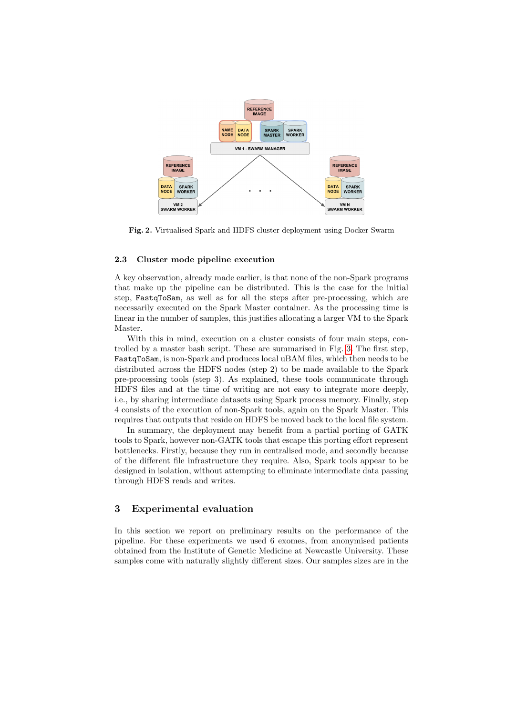

<span id="page-6-1"></span>Fig. 2. Virtualised Spark and HDFS cluster deployment using Docker Swarm

#### 2.3 Cluster mode pipeline execution

A key observation, already made earlier, is that none of the non-Spark programs that make up the pipeline can be distributed. This is the case for the initial step, FastqToSam, as well as for all the steps after pre-processing, which are necessarily executed on the Spark Master container. As the processing time is linear in the number of samples, this justifies allocating a larger VM to the Spark Master.

With this in mind, execution on a cluster consists of four main steps, controlled by a master bash script. These are summarised in Fig. [3.](#page-7-0) The first step, FastqToSam, is non-Spark and produces local uBAM files, which then needs to be distributed across the HDFS nodes (step 2) to be made available to the Spark pre-processing tools (step 3). As explained, these tools communicate through HDFS files and at the time of writing are not easy to integrate more deeply, i.e., by sharing intermediate datasets using Spark process memory. Finally, step 4 consists of the execution of non-Spark tools, again on the Spark Master. This requires that outputs that reside on HDFS be moved back to the local file system.

In summary, the deployment may benefit from a partial porting of GATK tools to Spark, however non-GATK tools that escape this porting effort represent bottlenecks. Firstly, because they run in centralised mode, and secondly because of the different file infrastructure they require. Also, Spark tools appear to be designed in isolation, without attempting to eliminate intermediate data passing through HDFS reads and writes.

### <span id="page-6-0"></span>3 Experimental evaluation

In this section we report on preliminary results on the performance of the pipeline. For these experiments we used 6 exomes, from anonymised patients obtained from the Institute of Genetic Medicine at Newcastle University. These samples come with naturally slightly different sizes. Our samples sizes are in the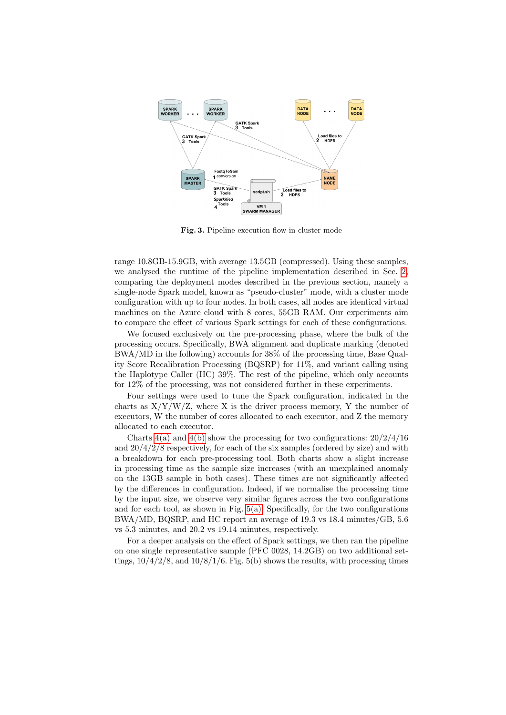

<span id="page-7-0"></span>Fig. 3. Pipeline execution flow in cluster mode

range 10.8GB-15.9GB, with average 13.5GB (compressed). Using these samples, we analysed the runtime of the pipeline implementation described in Sec. [2,](#page-3-0) comparing the deployment modes described in the previous section, namely a single-node Spark model, known as "pseudo-cluster" mode, with a cluster mode configuration with up to four nodes. In both cases, all nodes are identical virtual machines on the Azure cloud with 8 cores, 55GB RAM. Our experiments aim to compare the effect of various Spark settings for each of these configurations.

We focused exclusively on the pre-processing phase, where the bulk of the processing occurs. Specifically, BWA alignment and duplicate marking (denoted BWA/MD in the following) accounts for 38% of the processing time, Base Quality Score Recalibration Processing (BQSRP) for 11%, and variant calling using the Haplotype Caller (HC) 39%. The rest of the pipeline, which only accounts for 12% of the processing, was not considered further in these experiments.

Four settings were used to tune the Spark configuration, indicated in the charts as  $X/Y/W/Z$ , where X is the driver process memory, Y the number of executors, W the number of cores allocated to each executor, and Z the memory allocated to each executor.

Charts  $4(a)$  and  $4(b)$  show the processing for two configurations:  $20/2/4/16$ and  $20/4/2/8$  respectively, for each of the six samples (ordered by size) and with a breakdown for each pre-processing tool. Both charts show a slight increase in processing time as the sample size increases (with an unexplained anomaly on the 13GB sample in both cases). These times are not significantly affected by the differences in configuration. Indeed, if we normalise the processing time by the input size, we observe very similar figures across the two configurations and for each tool, as shown in Fig.  $5(a)$ . Specifically, for the two configurations BWA/MD, BQSRP, and HC report an average of 19.3 vs 18.4 minutes/GB, 5.6 vs 5.3 minutes, and 20.2 vs 19.14 minutes, respectively.

For a deeper analysis on the effect of Spark settings, we then ran the pipeline on one single representative sample (PFC 0028, 14.2GB) on two additional settings,  $10/4/2/8$ , and  $10/8/1/6$ . Fig. 5(b) shows the results, with processing times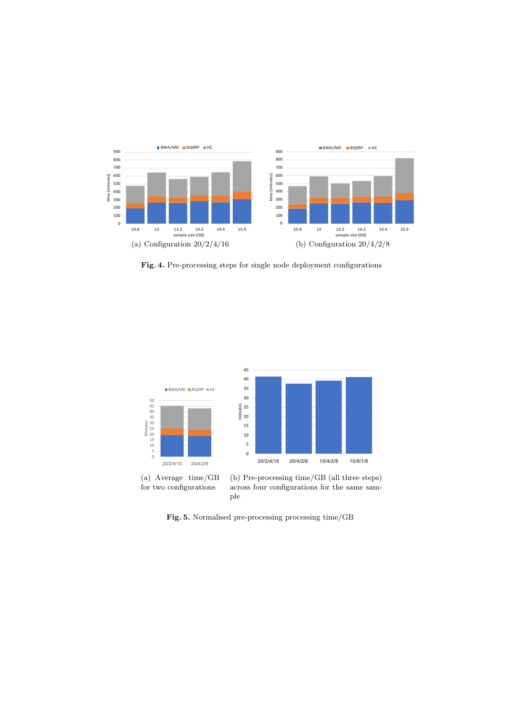

<span id="page-8-1"></span><span id="page-8-0"></span>Fig. 4. Pre-processing steps for single node deployment configurations



<span id="page-8-2"></span>Fig. 5. Normalised pre-processing processing time/GB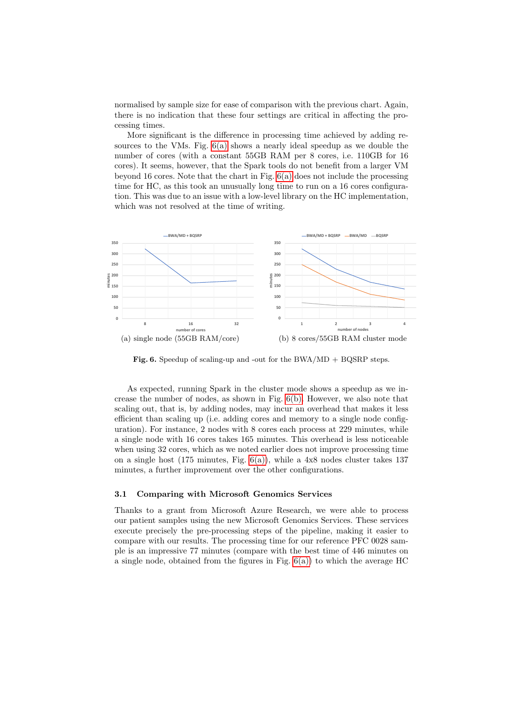normalised by sample size for ease of comparison with the previous chart. Again, there is no indication that these four settings are critical in affecting the processing times.

More significant is the difference in processing time achieved by adding resources to the VMs. Fig.  $6(a)$  shows a nearly ideal speedup as we double the number of cores (with a constant 55GB RAM per 8 cores, i.e. 110GB for 16 cores). It seems, however, that the Spark tools do not benefit from a larger VM beyond 16 cores. Note that the chart in Fig.  $6(a)$  does not include the processing time for HC, as this took an unusually long time to run on a 16 cores configuration. This was due to an issue with a low-level library on the HC implementation, which was not resolved at the time of writing.



<span id="page-9-1"></span><span id="page-9-0"></span>Fig. 6. Speedup of scaling-up and -out for the BWA/MD  $+$  BQSRP steps.

As expected, running Spark in the cluster mode shows a speedup as we increase the number of nodes, as shown in Fig. [6\(b\).](#page-9-1) However, we also note that scaling out, that is, by adding nodes, may incur an overhead that makes it less efficient than scaling up (i.e. adding cores and memory to a single node configuration). For instance, 2 nodes with 8 cores each process at 229 minutes, while a single node with 16 cores takes 165 minutes. This overhead is less noticeable when using 32 cores, which as we noted earlier does not improve processing time on a single host  $(175 \text{ minutes}, \text{Fig. } 6(a))$  $(175 \text{ minutes}, \text{Fig. } 6(a))$ , while a  $4x8$  nodes cluster takes  $137$ minutes, a further improvement over the other configurations.

#### 3.1 Comparing with Microsoft Genomics Services

Thanks to a grant from Microsoft Azure Research, we were able to process our patient samples using the new Microsoft Genomics Services. These services execute precisely the pre-processing steps of the pipeline, making it easier to compare with our results. The processing time for our reference PFC 0028 sample is an impressive 77 minutes (compare with the best time of 446 minutes on a single node, obtained from the figures in Fig.  $6(a)$  to which the average HC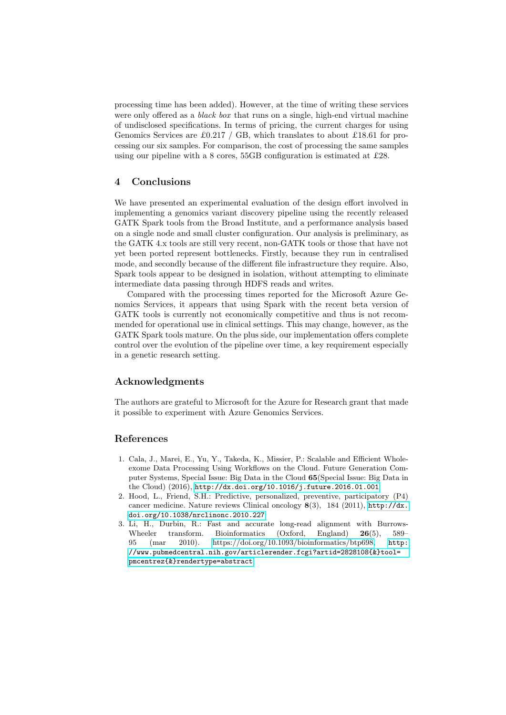processing time has been added). However, at the time of writing these services were only offered as a *black box* that runs on a single, high-end virtual machine of undisclosed specifications. In terms of pricing, the current charges for using Genomics Services are £0.217 / GB, which translates to about £18.61 for processing our six samples. For comparison, the cost of processing the same samples using our pipeline with a 8 cores, 55GB configuration is estimated at £28.

## 4 Conclusions

We have presented an experimental evaluation of the design effort involved in implementing a genomics variant discovery pipeline using the recently released GATK Spark tools from the Broad Institute, and a performance analysis based on a single node and small cluster configuration. Our analysis is preliminary, as the GATK 4.x tools are still very recent, non-GATK tools or those that have not yet been ported represent bottlenecks. Firstly, because they run in centralised mode, and secondly because of the different file infrastructure they require. Also, Spark tools appear to be designed in isolation, without attempting to eliminate intermediate data passing through HDFS reads and writes.

Compared with the processing times reported for the Microsoft Azure Genomics Services, it appears that using Spark with the recent beta version of GATK tools is currently not economically competitive and thus is not recommended for operational use in clinical settings. This may change, however, as the GATK Spark tools mature. On the plus side, our implementation offers complete control over the evolution of the pipeline over time, a key requirement especially in a genetic research setting.

#### Acknowledgments

The authors are grateful to Microsoft for the Azure for Research grant that made it possible to experiment with Azure Genomics Services.

#### References

- <span id="page-10-1"></span>1. Cala, J., Marei, E., Yu, Y., Takeda, K., Missier, P.: Scalable and Efficient Wholeexome Data Processing Using Workflows on the Cloud. Future Generation Computer Systems, Special Issue: Big Data in the Cloud 65(Special Issue: Big Data in the Cloud) (2016), <http://dx.doi.org/10.1016/j.future.2016.01.001>
- <span id="page-10-0"></span>2. Hood, L., Friend, S.H.: Predictive, personalized, preventive, participatory (P4) cancer medicine. Nature reviews Clinical oncology 8(3), 184 (2011), [http://dx.](http://dx.doi.org/10.1038/nrclinonc.2010.227) [doi.org/10.1038/nrclinonc.2010.227](http://dx.doi.org/10.1038/nrclinonc.2010.227)
- <span id="page-10-2"></span>3. Li, H., Durbin, R.: Fast and accurate long-read alignment with Burrows-Wheeler transform. Bioinformatics (Oxford, England) 26(5), 589– 95 (mar 2010). [https://doi.org/10.1093/bioinformatics/btp698,](https://doi.org/10.1093/bioinformatics/btp698) [http:](http://www.pubmedcentral.nih.gov/articlerender.fcgi?artid=2828108{&}tool=pmcentrez{&}rendertype=abstract) [//www.pubmedcentral.nih.gov/articlerender.fcgi?artid=2828108{&}tool=](http://www.pubmedcentral.nih.gov/articlerender.fcgi?artid=2828108{&}tool=pmcentrez{&}rendertype=abstract) [pmcentrez{&}rendertype=abstract](http://www.pubmedcentral.nih.gov/articlerender.fcgi?artid=2828108{&}tool=pmcentrez{&}rendertype=abstract)